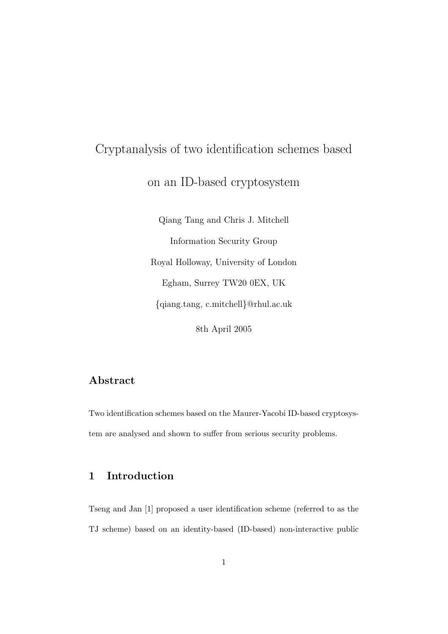# Cryptanalysis of two identification schemes based on an ID-based cryptosystem

Qiang Tang and Chris J. Mitchell Information Security Group Royal Holloway, University of London Egham, Surrey TW20 0EX, UK {qiang.tang, c.mitchell}@rhul.ac.uk 8th April 2005

## Abstract

Two identification schemes based on the Maurer-Yacobi ID-based cryptosystem are analysed and shown to suffer from serious security problems.

## 1 Introduction

Tseng and Jan [1] proposed a user identification scheme (referred to as the TJ scheme) based on an identity-based (ID-based) non-interactive public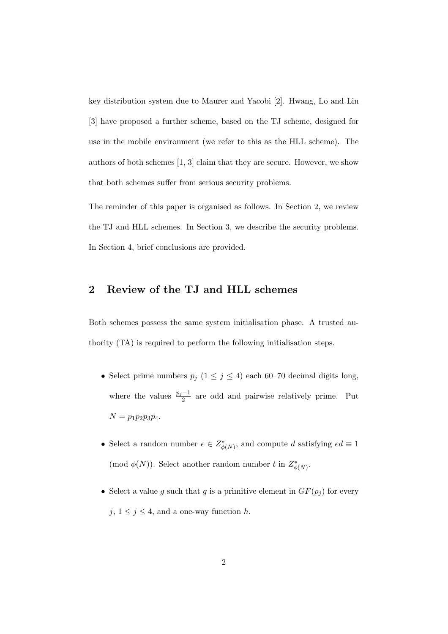key distribution system due to Maurer and Yacobi [2]. Hwang, Lo and Lin [3] have proposed a further scheme, based on the TJ scheme, designed for use in the mobile environment (we refer to this as the HLL scheme). The authors of both schemes [1, 3] claim that they are secure. However, we show that both schemes suffer from serious security problems.

The reminder of this paper is organised as follows. In Section 2, we review the TJ and HLL schemes. In Section 3, we describe the security problems. In Section 4, brief conclusions are provided.

### 2 Review of the TJ and HLL schemes

Both schemes possess the same system initialisation phase. A trusted authority (TA) is required to perform the following initialisation steps.

- Select prime numbers  $p_j$  ( $1 \le j \le 4$ ) each 60–70 decimal digits long, where the values  $\frac{p_j-1}{2}$  are odd and pairwise relatively prime. Put  $N = p_1 p_2 p_3 p_4.$
- Select a random number  $e \in Z^*_{\phi(N)}$ , and compute d satisfying  $ed \equiv 1$ (mod  $\phi(N)$ ). Select another random number t in  $Z^*_{\phi(N)}$ .
- Select a value g such that g is a primitive element in  $GF(p_j)$  for every  $j, 1 \leq j \leq 4$ , and a one-way function h.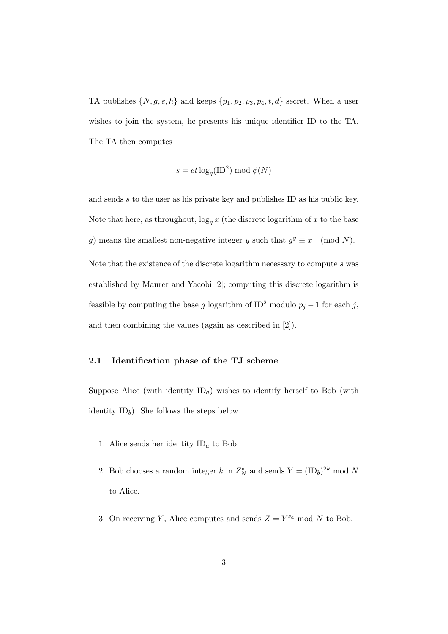TA publishes  $\{N, g, e, h\}$  and keeps  $\{p_1, p_2, p_3, p_4, t, d\}$  secret. When a user wishes to join the system, he presents his unique identifier ID to the TA. The TA then computes

$$
s = et \log_g(\text{ID}^2) \bmod \phi(N)
$$

and sends s to the user as his private key and publishes ID as his public key. Note that here, as throughout,  $\log_g x$  (the discrete logarithm of x to the base g) means the smallest non-negative integer y such that  $g^y \equiv x \pmod{N}$ . Note that the existence of the discrete logarithm necessary to compute s was established by Maurer and Yacobi [2]; computing this discrete logarithm is feasible by computing the base g logarithm of ID<sup>2</sup> modulo  $p_j - 1$  for each j, and then combining the values (again as described in [2]).

#### 2.1 Identification phase of the TJ scheme

Suppose Alice (with identity  $ID_a$ ) wishes to identify herself to Bob (with identity  $ID<sub>b</sub>$ ). She follows the steps below.

- 1. Alice sends her identity  $ID_a$  to Bob.
- 2. Bob chooses a random integer k in  $Z_N^*$  and sends  $Y = (\text{ID}_b)^{2k} \text{ mod } N$ to Alice.
- 3. On receiving Y, Alice computes and sends  $Z = Y^{s_a} \text{ mod } N$  to Bob.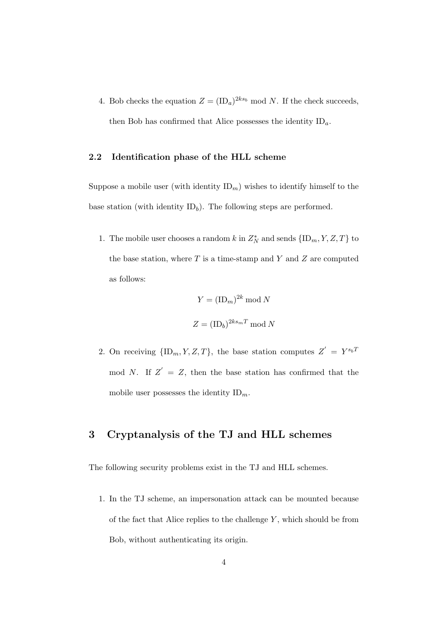4. Bob checks the equation  $Z = (\text{ID}_a)^{2ks_b} \text{ mod } N$ . If the check succeeds, then Bob has confirmed that Alice possesses the identity  $ID_a$ .

#### 2.2 Identification phase of the HLL scheme

Suppose a mobile user (with identity  $ID_m$ ) wishes to identify himself to the base station (with identity  $ID<sub>b</sub>$ ). The following steps are performed.

1. The mobile user chooses a random  $k$  in  $Z_N^*$  and sends  $\{\text{ID}_m, Y, Z, T\}$  to the base station, where  $T$  is a time-stamp and  $Y$  and  $Z$  are computed as follows:

$$
Y = (\text{ID}_m)^{2k} \mod N
$$

$$
Z = (\text{ID}_b)^{2ks_mT} \mod N
$$

2. On receiving  $\{\text{ID}_m, Y, Z, T\}$ , the base station computes  $Z' = Y^{s_b T}$ mod N. If  $Z' = Z$ , then the base station has confirmed that the mobile user possesses the identity  $ID_m$ .

## 3 Cryptanalysis of the TJ and HLL schemes

The following security problems exist in the TJ and HLL schemes.

1. In the TJ scheme, an impersonation attack can be mounted because of the fact that Alice replies to the challenge  $Y$ , which should be from Bob, without authenticating its origin.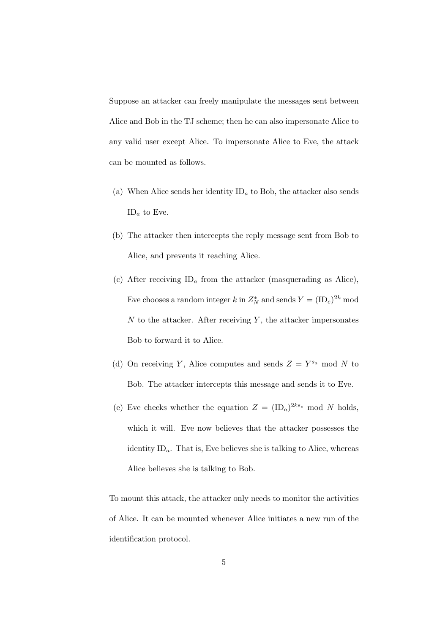Suppose an attacker can freely manipulate the messages sent between Alice and Bob in the TJ scheme; then he can also impersonate Alice to any valid user except Alice. To impersonate Alice to Eve, the attack can be mounted as follows.

- (a) When Alice sends her identity  $ID<sub>a</sub>$  to Bob, the attacker also sends  $ID<sub>a</sub>$  to Eve.
- (b) The attacker then intercepts the reply message sent from Bob to Alice, and prevents it reaching Alice.
- (c) After receiving  $ID_a$  from the attacker (masquerading as Alice), Eve chooses a random integer k in  $Z_N^*$  and sends  $Y = (\text{ID}_e)^{2k}$  mod  $N$  to the attacker. After receiving  $Y$ , the attacker impersonates Bob to forward it to Alice.
- (d) On receiving Y, Alice computes and sends  $Z = Y^{s_a} \text{ mod } N$  to Bob. The attacker intercepts this message and sends it to Eve.
- (e) Eve checks whether the equation  $Z = (\text{ID}_a)^{2ks_e}$  mod N holds, which it will. Eve now believes that the attacker possesses the identity  $ID_a$ . That is, Eve believes she is talking to Alice, whereas Alice believes she is talking to Bob.

To mount this attack, the attacker only needs to monitor the activities of Alice. It can be mounted whenever Alice initiates a new run of the identification protocol.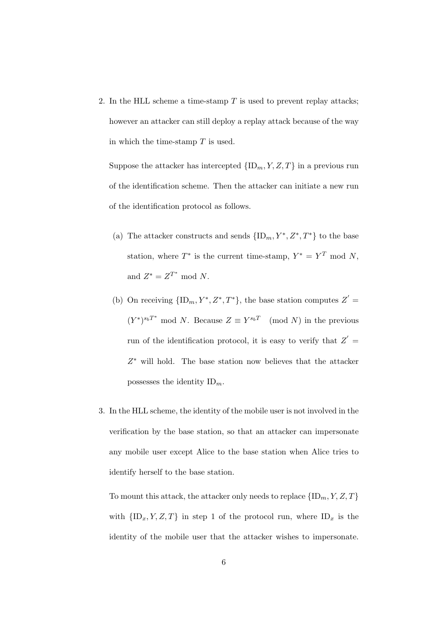2. In the HLL scheme a time-stamp  $T$  is used to prevent replay attacks; however an attacker can still deploy a replay attack because of the way in which the time-stamp  $T$  is used.

Suppose the attacker has intercepted  $\{\text{ID}_m, Y, Z, T\}$  in a previous run of the identification scheme. Then the attacker can initiate a new run of the identification protocol as follows.

- (a) The attacker constructs and sends  ${ID_m, Y^*, Z^*, T^*}$  to the base station, where  $T^*$  is the current time-stamp,  $Y^* = Y^T \mod N$ , and  $Z^* = Z^{T^*} \text{ mod } N$ .
- (b) On receiving  ${ID_m, Y^*, Z^*, T^*}$ , the base station computes  $Z' =$  $(Y^*)^{s_bT^*}$  mod N. Because  $Z \equiv Y^{s_bT} \pmod{N}$  in the previous run of the identification protocol, it is easy to verify that  $Z' =$ Z <sup>∗</sup> will hold. The base station now believes that the attacker possesses the identity  $ID_m$ .
- 3. In the HLL scheme, the identity of the mobile user is not involved in the verification by the base station, so that an attacker can impersonate any mobile user except Alice to the base station when Alice tries to identify herself to the base station.

To mount this attack, the attacker only needs to replace  $\{ID_m, Y, Z, T\}$ with  ${\{\Pi_x, Y, Z, T\}}$  in step 1 of the protocol run, where  ${\Pi_x}$  is the identity of the mobile user that the attacker wishes to impersonate.